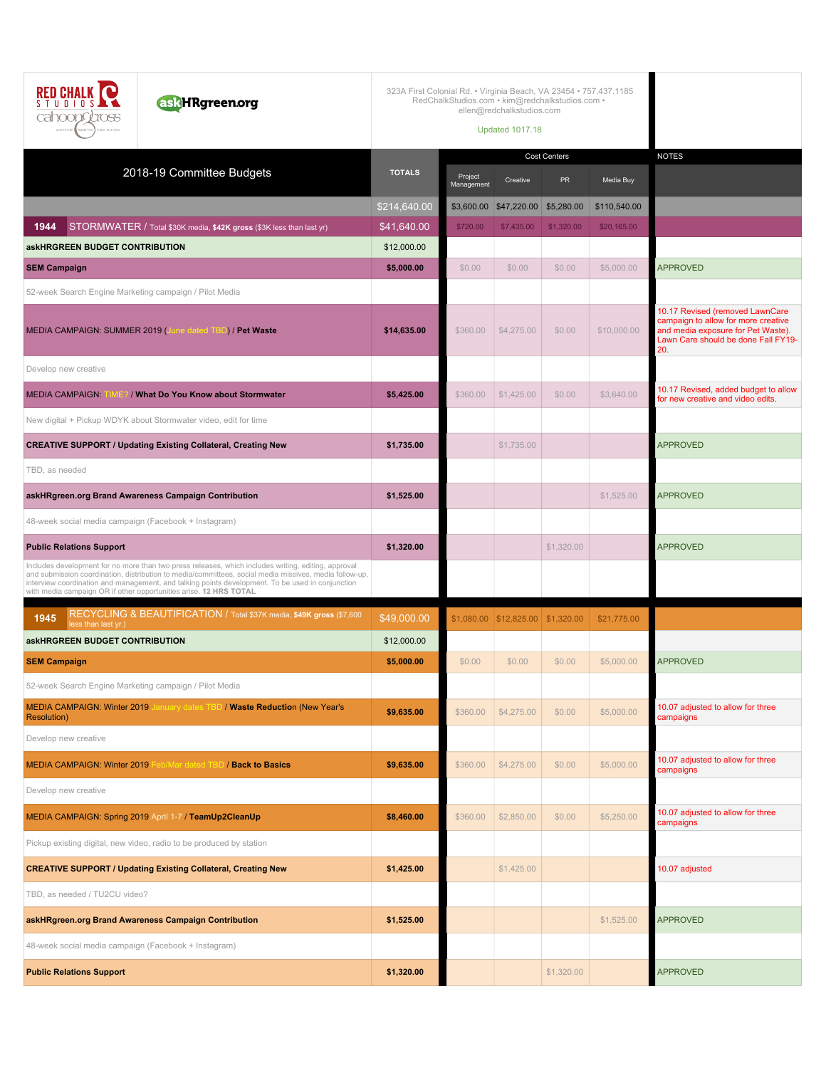| askHRgreen.org<br>STUDIOS.<br>cahoons <i>cross</i><br>MARKETING TUBUK RELATIONS<br>ANVIOTION                                                                                                                                                                                                                                                                                           | 323A First Colonial Rd. • Virginia Beach, VA 23454 • 757.437.1185 | RedChalkStudios.com · kim@redchalkstudios.com ·<br>ellen@redchalkstudios.com<br><b>Updated 1017.18</b> |                                      |                     |              |                                                                                                                                                            |
|----------------------------------------------------------------------------------------------------------------------------------------------------------------------------------------------------------------------------------------------------------------------------------------------------------------------------------------------------------------------------------------|-------------------------------------------------------------------|--------------------------------------------------------------------------------------------------------|--------------------------------------|---------------------|--------------|------------------------------------------------------------------------------------------------------------------------------------------------------------|
| 2018-19 Committee Budgets                                                                                                                                                                                                                                                                                                                                                              | <b>TOTALS</b>                                                     |                                                                                                        |                                      | <b>Cost Centers</b> |              | <b>NOTES</b>                                                                                                                                               |
|                                                                                                                                                                                                                                                                                                                                                                                        |                                                                   | Project<br>Management                                                                                  | Creative                             | <b>PR</b>           | Media Buy    |                                                                                                                                                            |
|                                                                                                                                                                                                                                                                                                                                                                                        | \$214,640.00                                                      |                                                                                                        | \$3,600.00 \$47,220.00 \$5,280.00    |                     | \$110,540.00 |                                                                                                                                                            |
| 1944<br>STORMWATER / Total \$30K media, \$42K gross (\$3K less than last yr)<br><b>askHRGREEN BUDGET CONTRIBUTION</b>                                                                                                                                                                                                                                                                  | \$41,640.00<br>\$12,000.00                                        | \$720.00                                                                                               | \$7,435.00                           | \$1,320.00          | \$20,165.00  |                                                                                                                                                            |
| <b>SEM Campaign</b>                                                                                                                                                                                                                                                                                                                                                                    | \$5,000.00                                                        | \$0.00                                                                                                 | \$0.00                               | \$0.00              | \$5,000.00   | <b>APPROVED</b>                                                                                                                                            |
| 52-week Search Engine Marketing campaign / Pilot Media                                                                                                                                                                                                                                                                                                                                 |                                                                   |                                                                                                        |                                      |                     |              |                                                                                                                                                            |
| MEDIA CAMPAIGN: SUMMER 2019 (June dated TBD) / Pet Waste                                                                                                                                                                                                                                                                                                                               | \$14,635.00                                                       | \$360.00                                                                                               | \$4,275.00                           | \$0.00              | \$10,000.00  | 10.17 Revised (removed LawnCare<br>campaign to allow for more creative<br>and media exposure for Pet Waste).<br>Lawn Care should be done Fall FY19-<br>20. |
| Develop new creative                                                                                                                                                                                                                                                                                                                                                                   |                                                                   |                                                                                                        |                                      |                     |              |                                                                                                                                                            |
| <b>MEDIA CAMPAIGN:</b><br>/ What Do You Know about Stormwater                                                                                                                                                                                                                                                                                                                          | \$5,425.00                                                        | \$360.00                                                                                               | \$1,425.00                           | \$0.00              | \$3,640.00   | 10.17 Revised, added budget to allow<br>for new creative and video edits.                                                                                  |
| New digital + Pickup WDYK about Stormwater video, edit for time                                                                                                                                                                                                                                                                                                                        |                                                                   |                                                                                                        |                                      |                     |              |                                                                                                                                                            |
| <b>CREATIVE SUPPORT / Updating Existing Collateral, Creating New</b>                                                                                                                                                                                                                                                                                                                   | \$1,735.00                                                        |                                                                                                        | \$1,735.00                           |                     |              | <b>APPROVED</b>                                                                                                                                            |
| TBD, as needed                                                                                                                                                                                                                                                                                                                                                                         |                                                                   |                                                                                                        |                                      |                     |              |                                                                                                                                                            |
| askHRgreen.org Brand Awareness Campaign Contribution                                                                                                                                                                                                                                                                                                                                   | \$1,525.00                                                        |                                                                                                        |                                      |                     | \$1,525.00   | <b>APPROVED</b>                                                                                                                                            |
| 48-week social media campaign (Facebook + Instagram)                                                                                                                                                                                                                                                                                                                                   |                                                                   |                                                                                                        |                                      |                     |              |                                                                                                                                                            |
| <b>Public Relations Support</b>                                                                                                                                                                                                                                                                                                                                                        | \$1,320.00                                                        |                                                                                                        |                                      | \$1,320.00          |              | <b>APPROVED</b>                                                                                                                                            |
| Includes development for no more than two press releases, which includes writing, editing, approval<br>and submission coordination, distribution to media/committees, social media missives, media follow-up,<br>interview coordination and management, and talking points development. To be used in conjunction<br>with media campaign OR if other opportunities arise. 12 HRS TOTAL |                                                                   |                                                                                                        |                                      |                     |              |                                                                                                                                                            |
| RECYCLING & BEAUTIFICATION / Total \$37K media, \$49K gross (\$7,600<br>1945<br>less than last yr.)                                                                                                                                                                                                                                                                                    | \$49,000.00                                                       |                                                                                                        | $$1,080.00$ $$12,825.00$ $$1,320.00$ |                     | \$21,775.00  |                                                                                                                                                            |
| askHRGREEN BUDGET CONTRIBUTION                                                                                                                                                                                                                                                                                                                                                         | \$12,000.00                                                       |                                                                                                        |                                      |                     |              |                                                                                                                                                            |
| <b>SEM Campaign</b>                                                                                                                                                                                                                                                                                                                                                                    | \$5,000.00                                                        | \$0.00                                                                                                 | \$0.00                               | \$0.00              | \$5,000.00   | <b>APPROVED</b>                                                                                                                                            |
| 52-week Search Engine Marketing campaign / Pilot Media                                                                                                                                                                                                                                                                                                                                 |                                                                   |                                                                                                        |                                      |                     |              |                                                                                                                                                            |
| MEDIA CAMPAIGN: Winter 2019 January dates TBD / Waste Reduction (New Year's<br><b>Resolution</b> )                                                                                                                                                                                                                                                                                     | \$9,635.00                                                        | \$360.00                                                                                               | \$4,275.00                           | \$0.00              | \$5,000.00   | 10.07 adjusted to allow for three<br>campaigns                                                                                                             |
| Develop new creative                                                                                                                                                                                                                                                                                                                                                                   |                                                                   |                                                                                                        |                                      |                     |              |                                                                                                                                                            |
| MEDIA CAMPAIGN: Winter 2019 Feb/Mar dated TBD / Back to Basics                                                                                                                                                                                                                                                                                                                         | \$9,635.00                                                        | \$360.00                                                                                               | \$4,275.00                           | \$0.00              | \$5,000.00   | 10.07 adjusted to allow for three<br>campaigns                                                                                                             |
| Develop new creative                                                                                                                                                                                                                                                                                                                                                                   |                                                                   |                                                                                                        |                                      |                     |              |                                                                                                                                                            |
| MEDIA CAMPAIGN: Spring 2019 April 1-7 / TeamUp2CleanUp                                                                                                                                                                                                                                                                                                                                 | \$8,460.00                                                        | \$360.00                                                                                               | \$2,850.00                           | \$0.00              | \$5,250.00   | 10.07 adjusted to allow for three<br>campaigns                                                                                                             |
| Pickup existing digital, new video, radio to be produced by station                                                                                                                                                                                                                                                                                                                    |                                                                   |                                                                                                        |                                      |                     |              |                                                                                                                                                            |
| <b>CREATIVE SUPPORT / Updating Existing Collateral, Creating New</b>                                                                                                                                                                                                                                                                                                                   | \$1,425.00                                                        |                                                                                                        | \$1,425.00                           |                     |              | 10.07 adjusted                                                                                                                                             |
| TBD, as needed / TU2CU video?                                                                                                                                                                                                                                                                                                                                                          |                                                                   |                                                                                                        |                                      |                     |              |                                                                                                                                                            |
| askHRgreen.org Brand Awareness Campaign Contribution                                                                                                                                                                                                                                                                                                                                   | \$1,525.00                                                        |                                                                                                        |                                      |                     | \$1,525.00   | <b>APPROVED</b>                                                                                                                                            |
| 48-week social media campaign (Facebook + Instagram)                                                                                                                                                                                                                                                                                                                                   |                                                                   |                                                                                                        |                                      |                     |              |                                                                                                                                                            |
| <b>Public Relations Support</b>                                                                                                                                                                                                                                                                                                                                                        | \$1,320.00                                                        |                                                                                                        |                                      | \$1,320.00          |              | <b>APPROVED</b>                                                                                                                                            |